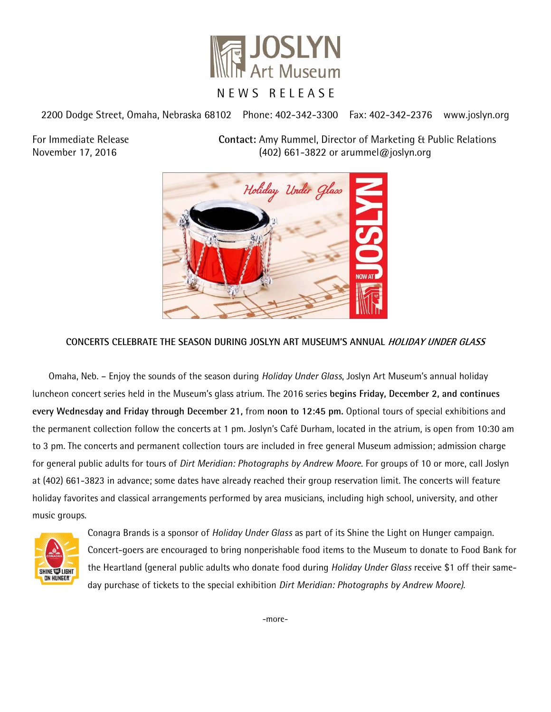

2200 Dodge Street, Omaha, Nebraska 68102 Phone: 402-342-3300 Fax: 402-342-2376 www.joslyn.org

For Immediate Release **Contact:** Amy Rummel, Director of Marketing & Public Relations November 17, 2016 (402) 661-3822 or arummel@joslyn.org



## **CONCERTS CELEBRATE THE SEASON DURING JOSLYN ART MUSEUM'S ANNUAL HOLIDAY UNDER GLASS**

Omaha, Neb. – Enjoy the sounds of the season during *Holiday Under Glass*, Joslyn Art Museum's annual holiday luncheon concert series held in the Museum's glass atrium. The 2016 series **begins Friday, December 2, and continues every Wednesday and Friday through December 21,** from **noon to 12:45 pm.** Optional tours of special exhibitions and the permanent collection follow the concerts at 1 pm. Joslyn's Café Durham, located in the atrium, is open from 10:30 am to 3 pm. The concerts and permanent collection tours are included in free general Museum admission; admission charge for general public adults for tours of *Dirt Meridian: Photographs by Andrew Moore.* For groups of 10 or more, call Joslyn at (402) 661-3823 in advance; some dates have already reached their group reservation limit. The concerts will feature holiday favorites and classical arrangements performed by area musicians, including high school, university, and other music groups.



Conagra Brands is a sponsor of *Holiday Under Glass* as part of its Shine the Light on Hunger campaign. Concert-goers are encouraged to bring nonperishable food items to the Museum to donate to Food Bank for the Heartland (general public adults who donate food during *Holiday Under Glass* receive \$1 off their sameday purchase of tickets to the special exhibition *Dirt Meridian: Photographs by Andrew Moore)*.